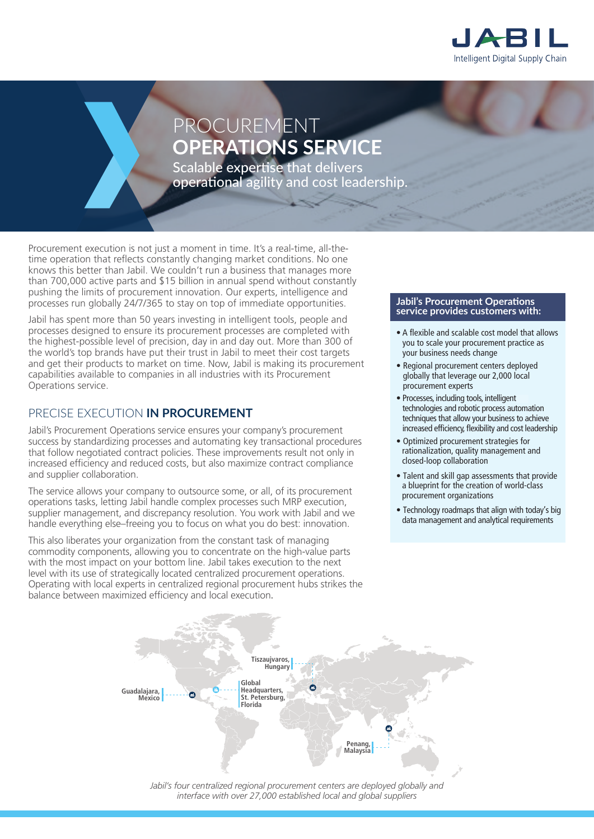

# PROCUREMENT **OPERATIONS SERVICE**

Scalable expertise that delivers operational agility and cost leadership.

Procurement execution is not just a moment in time. It's a real-time, all-thetime operation that reflects constantly changing market conditions. No one knows this better than Jabil. We couldn't run a business that manages more than 700,000 active parts and \$15 billion in annual spend without constantly pushing the limits of procurement innovation. Our experts, intelligence and processes run globally 24/7/365 to stay on top of immediate opportunities.

Jabil has spent more than 50 years investing in intelligent tools, people and processes designed to ensure its procurement processes are completed with the highest-possible level of precision, day in and day out. More than 300 of the world's top brands have put their trust in Jabil to meet their cost targets and get their products to market on time. Now, Jabil is making its procurement capabilities available to companies in all industries with its Procurement Operations service.

#### PRECISE EXECUTION **IN PROCUREMENT**

Jabil's Procurement Operations service ensures your company's procurement success by standardizing processes and automating key transactional procedures that follow negotiated contract policies. These improvements result not only in increased efficiency and reduced costs, but also maximize contract compliance and supplier collaboration.

The service allows your company to outsource some, or all, of its procurement operations tasks, letting Jabil handle complex processes such MRP execution, supplier management, and discrepancy resolution. You work with Jabil and we handle everything else–freeing you to focus on what you do best: innovation.

This also liberates your organization from the constant task of managing commodity components, allowing you to concentrate on the high-value parts with the most impact on your bottom line. Jabil takes execution to the next level with its use of strategically located centralized procurement operations. Operating with local experts in centralized regional procurement hubs strikes the balance between maximized efficiency and local execution.

#### **Jabil's Procurement Operations service provides customers with:**

- A flexible and scalable cost model that allows you to scale your procurement practice as your business needs change
- Regional procurement centers deployed globally that leverage our 2,000 local procurement experts
- $\bullet$  Processes, including tools, intelligent technologies and robotic process automation techniques that allow your business to achieve increased efficiency, flexibility and cost leadership
- Optimized procurement strategies for rationalization, quality management and closed-loop collaboration
- Talent and skill gap assessments that provide a blueprint for the creation of world-class procurement organizations
- Technology roadmaps that align with today's big data management and analytical requirements



*interface with over 27,000 established local and global suppliers*